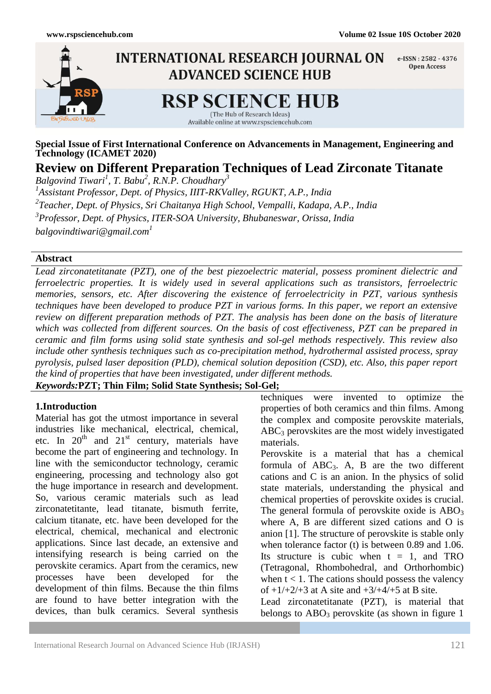

**Special Issue of First International Conference on Advancements in Management, Engineering and Technology (ICAMET 2020)**

# **Review on Different Preparation Techniques of Lead Zirconate Titanate**

*Balgovind Tiwari<sup>1</sup> , T. Babu<sup>2</sup> , R.N.P. Choudhary<sup>3</sup> 1 Assistant Professor, Dept. of Physics, IIIT-RKValley, RGUKT, A.P., India 2 Teacher, Dept. of Physics, Sri Chaitanya High School, Vempalli, Kadapa, A.P., India 3 Professor, Dept. of Physics, ITER-SOA University, Bhubaneswar, Orissa, India balgovindtiwari@gmail.com<sup>1</sup>*

#### **Abstract**

*Lead zirconatetitanate (PZT), one of the best piezoelectric material, possess prominent dielectric and ferroelectric properties. It is widely used in several applications such as transistors, ferroelectric memories, sensors, etc. After discovering the existence of ferroelectricity in PZT, various synthesis techniques have been developed to produce PZT in various forms. In this paper, we report an extensive review on different preparation methods of PZT. The analysis has been done on the basis of literature which was collected from different sources. On the basis of cost effectiveness, PZT can be prepared in ceramic and film forms using solid state synthesis and sol-gel methods respectively. This review also include other synthesis techniques such as co-precipitation method, hydrothermal assisted process, spray pyrolysis, pulsed laser deposition (PLD), chemical solution deposition (CSD), etc. Also, this paper report the kind of properties that have been investigated, under different methods.* 

*Keywords:***PZT; Thin Film; Solid State Synthesis; Sol-Gel;**

#### **1.Introduction**

Material has got the utmost importance in several industries like mechanical, electrical, chemical, etc. In  $20^{th}$  and  $21^{st}$  century, materials have become the part of engineering and technology. In line with the semiconductor technology, ceramic engineering, processing and technology also got the huge importance in research and development. So, various ceramic materials such as lead zirconatetitante, lead titanate, bismuth ferrite, calcium titanate, etc. have been developed for the electrical, chemical, mechanical and electronic applications. Since last decade, an extensive and intensifying research is being carried on the perovskite ceramics. Apart from the ceramics, new processes have been developed for the development of thin films. Because the thin films are found to have better integration with the devices, than bulk ceramics. Several synthesis

techniques were invented to optimize the properties of both ceramics and thin films. Among the complex and composite perovskite materials,  $ABC<sub>3</sub>$  perovskites are the most widely investigated materials.

Perovskite is a material that has a chemical formula of  $ABC_3$ . A, B are the two different cations and C is an anion. In the physics of solid state materials, understanding the physical and chemical properties of perovskite oxides is crucial. The general formula of perovskite oxide is  $ABO<sub>3</sub>$ where A, B are different sized cations and O is anion [1]. The structure of perovskite is stable only when tolerance factor (t) is between 0.89 and 1.06. Its structure is cubic when  $t = 1$ , and TRO (Tetragonal, Rhombohedral, and Orthorhombic) when  $t < 1$ . The cations should possess the valency of  $+1/+2/+3$  at A site and  $+3/+4/+5$  at B site.

Lead zirconatetitanate (PZT), is material that belongs to  $ABO<sub>3</sub>$  perovskite (as shown in figure 1)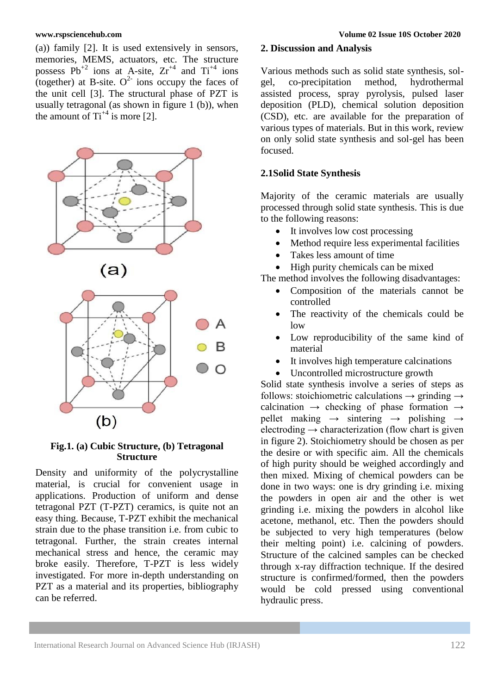(a)) family [2]. It is used extensively in sensors, memories, MEMS, actuators, etc. The structure possess  $Pb^{+2}$  ions at A-site,  $Zr^{+4}$  and  $Ti^{+4}$  ions (together) at B-site.  $O^2$  ions occupy the faces of the unit cell [3]. The structural phase of PZT is usually tetragonal (as shown in figure 1 (b)), when the amount of  $Ti^{+4}$  is more [2].







## **Fig.1. (a) Cubic Structure, (b) Tetragonal Structure**

Density and uniformity of the polycrystalline material, is crucial for convenient usage in applications. Production of uniform and dense tetragonal PZT (T-PZT) ceramics, is quite not an easy thing. Because, T-PZT exhibit the mechanical strain due to the phase transition i.e. from cubic to tetragonal. Further, the strain creates internal mechanical stress and hence, the ceramic may broke easily. Therefore, T-PZT is less widely investigated. For more in-depth understanding on PZT as a material and its properties, bibliography can be referred.

### **2. Discussion and Analysis**

Various methods such as solid state synthesis, solgel, co-precipitation method, hydrothermal assisted process, spray pyrolysis, pulsed laser deposition (PLD), chemical solution deposition (CSD), etc. are available for the preparation of various types of materials. But in this work, review on only solid state synthesis and sol-gel has been focused.

### **2.1Solid State Synthesis**

Majority of the ceramic materials are usually processed through solid state synthesis. This is due to the following reasons:

- It involves low cost processing
- Method require less experimental facilities
- Takes less amount of time
- High purity chemicals can be mixed

The method involves the following disadvantages:

- Composition of the materials cannot be controlled
- The reactivity of the chemicals could be low
- Low reproducibility of the same kind of material
- It involves high temperature calcinations
- Uncontrolled microstructure growth

Solid state synthesis involve a series of steps as follows: stoichiometric calculations  $\rightarrow$  grinding  $\rightarrow$ calcination  $\rightarrow$  checking of phase formation  $\rightarrow$ pellet making  $\rightarrow$  sintering  $\rightarrow$  polishing  $\rightarrow$ electroding  $\rightarrow$  characterization (flow chart is given in figure 2). Stoichiometry should be chosen as per the desire or with specific aim. All the chemicals of high purity should be weighed accordingly and then mixed. Mixing of chemical powders can be done in two ways: one is dry grinding i.e. mixing the powders in open air and the other is wet grinding i.e. mixing the powders in alcohol like acetone, methanol, etc. Then the powders should be subjected to very high temperatures (below their melting point) i.e. calcining of powders. Structure of the calcined samples can be checked through x-ray diffraction technique. If the desired structure is confirmed/formed, then the powders would be cold pressed using conventional hydraulic press.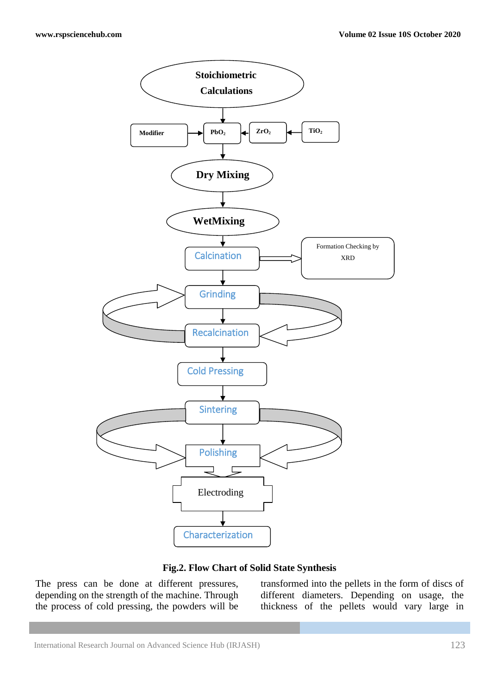

**Fig.2. Flow Chart of Solid State Synthesis**

The press can be done at different pressures, depending on the strength of the machine. Through the process of cold pressing, the powders will be transformed into the pellets in the form of discs of different diameters. Depending on usage, the thickness of the pellets would vary large in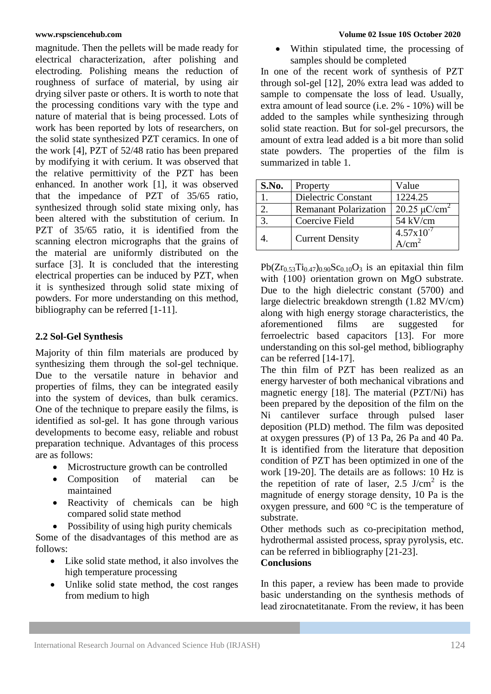magnitude. Then the pellets will be made ready for electrical characterization, after polishing and electroding. Polishing means the reduction of roughness of surface of material, by using air drying silver paste or others. It is worth to note that the processing conditions vary with the type and nature of material that is being processed. Lots of work has been reported by lots of researchers, on the solid state synthesized PZT ceramics. In one of the work [4], PZT of 52/48 ratio has been prepared by modifying it with cerium. It was observed that the relative permittivity of the PZT has been enhanced. In another work [1], it was observed that the impedance of PZT of 35/65 ratio, synthesized through solid state mixing only, has been altered with the substitution of cerium. In PZT of 35/65 ratio, it is identified from the scanning electron micrographs that the grains of the material are uniformly distributed on the surface [3]. It is concluded that the interesting electrical properties can be induced by PZT, when it is synthesized through solid state mixing of powders. For more understanding on this method, bibliography can be referred [1-11].

### **2.2 Sol-Gel Synthesis**

Majority of thin film materials are produced by synthesizing them through the sol-gel technique. Due to the versatile nature in behavior and properties of films, they can be integrated easily into the system of devices, than bulk ceramics. One of the technique to prepare easily the films, is identified as sol-gel. It has gone through various developments to become easy, reliable and robust preparation technique. Advantages of this process are as follows:

- Microstructure growth can be controlled
- Composition of material can be maintained
- Reactivity of chemicals can be high compared solid state method

• Possibility of using high purity chemicals

Some of the disadvantages of this method are as follows:

- Like solid state method, it also involves the high temperature processing
- Unlike solid state method, the cost ranges from medium to high

 Within stipulated time, the processing of samples should be completed

In one of the recent work of synthesis of PZT through sol-gel [12], 20% extra lead was added to sample to compensate the loss of lead. Usually, extra amount of lead source (i.e. 2% - 10%) will be added to the samples while synthesizing through solid state reaction. But for sol-gel precursors, the amount of extra lead added is a bit more than solid state powders. The properties of the film is summarized in table 1.

| S.No. | Property                     | Value                         |
|-------|------------------------------|-------------------------------|
|       | Dielectric Constant          | 1224.25                       |
|       | <b>Remanant Polarization</b> | $20.25 \mu$ C/cm <sup>2</sup> |
| 3.    | Coercive Field               | 54 kV/cm                      |
|       | <b>Current Density</b>       | $4.57 \times 10^{-7}$         |

 $Pb(Zr_053Ti_047)$ <sub>0.90</sub>Sc<sub>0.10</sub>O<sub>3</sub> is an epitaxial thin film with  ${100}$  orientation grown on MgO substrate. Due to the high dielectric constant (5700) and large dielectric breakdown strength (1.82 MV/cm) along with high energy storage characteristics, the aforementioned films are suggested for ferroelectric based capacitors [13]. For more understanding on this sol-gel method, bibliography can be referred [14-17].

The thin film of PZT has been realized as an energy harvester of both mechanical vibrations and magnetic energy [18]. The material (PZT/Ni) has been prepared by the deposition of the film on the Ni cantilever surface through pulsed laser deposition (PLD) method. The film was deposited at oxygen pressures (P) of 13 Pa, 26 Pa and 40 Pa. It is identified from the literature that deposition condition of PZT has been optimized in one of the work [19-20]. The details are as follows: 10 Hz is the repetition of rate of laser,  $2.5$  J/cm<sup>2</sup> is the magnitude of energy storage density, 10 Pa is the oxygen pressure, and 600 °C is the temperature of substrate.

Other methods such as co-precipitation method, hydrothermal assisted process, spray pyrolysis, etc. can be referred in bibliography [21-23]. **Conclusions**

In this paper, a review has been made to provide basic understanding on the synthesis methods of lead zirocnatetitanate. From the review, it has been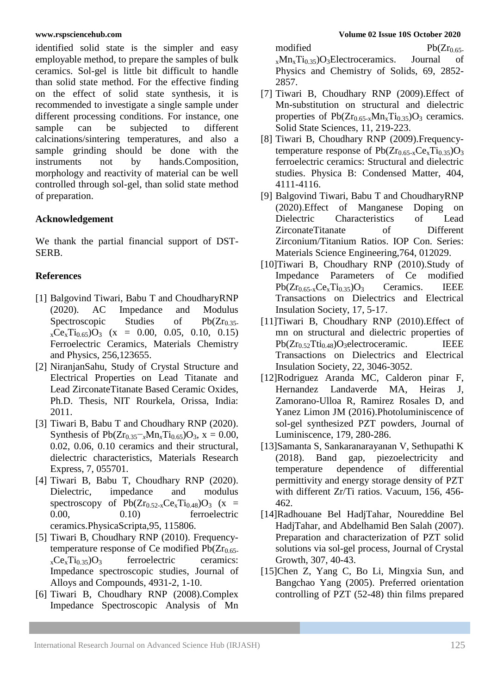identified solid state is the simpler and easy employable method, to prepare the samples of bulk ceramics. Sol-gel is little bit difficult to handle than solid state method. For the effective finding on the effect of solid state synthesis, it is recommended to investigate a single sample under different processing conditions. For instance, one sample can be subjected to different calcinations/sintering temperatures, and also a sample grinding should be done with the instruments not by hands.Composition, morphology and reactivity of material can be well controlled through sol-gel, than solid state method of preparation.

# **Acknowledgement**

We thank the partial financial support of DST-SERB.

# **References**

- [1] Balgovind Tiwari, Babu T and ChoudharyRNP (2020). AC Impedance and Modulus Spectroscopic Studies of Pb $(Zr_{0.35})$  $_{x}Ce_{x}Ti_{0.65}$ ) $O_{3}$  (x = 0.00, 0.05, 0.10, 0.15) Ferroelectric Ceramics, Materials Chemistry and Physics, 256,123655.
- [2] NiranjanSahu, Study of Crystal Structure and Electrical Properties on Lead Titanate and Lead ZirconateTitanate Based Ceramic Oxides, Ph.D. Thesis, NIT Rourkela, Orissa, India: 2011.
- [3] Tiwari B, Babu T and Choudhary RNP (2020). Synthesis of  $Pb(Zr_{0.35}-xMn_xTi_{0.65})O_3$ , x = 0.00, 0.02, 0.06, 0.10 ceramics and their structural, dielectric characteristics, Materials Research Express, 7, 055701.
- [4] Tiwari B, Babu T, Choudhary RNP (2020). Dielectric, impedance and modulus spectroscopy of  $Pb(Zr_{0.52-x}Ce<sub>x</sub>Ti_{0.48})O<sub>3</sub>$  (x = 0.00, 0.10) ferroelectric ceramics.PhysicaScripta,95, 115806.
- [5] Tiwari B, Choudhary RNP (2010). Frequencytemperature response of Ce modified  $Pb(Zr_{0.65})$  $_{x}Ce_{x}Ti_{0.35}$ ) $O_{3}$  ferroelectric ceramics: Impedance spectroscopic studies, Journal of Alloys and Compounds, 4931-2, 1-10.
- [6] Tiwari B, Choudhary RNP (2008).Complex Impedance Spectroscopic Analysis of Mn

modified Pb( $Zr_{0.65}$ -<br>
m<sub>x</sub>Mn<sub>x</sub>T<sub>i<sub>0.35</sub>)O<sub>3</sub>Electroceramics. Journal of</sub>  $x$ Mn<sub>x</sub>Ti<sub>0.35</sub>)O<sub>3</sub>Electroceramics. Journal of Physics and Chemistry of Solids, 69, 2852-

[7] Tiwari B, Choudhary RNP (2009).Effect of Mn-substitution on structural and dielectric properties of  $Pb(Zr_{0.65-x}Mn_xTi_{0.35})O_3$  ceramics. Solid State Sciences, 11, 219-223.

2857.

- [8] Tiwari B, Choudhary RNP (2009).Frequencytemperature response of  $Pb(Zr_{0.65-x}Ce<sub>x</sub>Ti_{0.35})O<sub>3</sub>$ ferroelectric ceramics: Structural and dielectric studies. Physica B: Condensed Matter, 404, 4111-4116.
- [9] Balgovind Tiwari, Babu T and ChoudharyRNP (2020).Effect of Manganese Doping on Dielectric Characteristics of Lead ZirconateTitanate of Different Zirconium/Titanium Ratios. IOP Con. Series: Materials Science Engineering,764, 012029.
- [10]Tiwari B, Choudhary RNP (2010).Study of Impedance Parameters of Ce modified  $Pb(Zr_{0.65-x}Ce<sub>x</sub>Ti<sub>0.35</sub>)O<sub>3</sub>$  Ceramics. IEEE Transactions on Dielectrics and Electrical Insulation Society, 17, 5-17.
- [11]Tiwari B, Choudhary RNP (2010).Effect of mn on structural and dielectric properties of  $Pb(Zr_{0.52}Tti_{0.48})O_3$ electroceramic. IEEE Transactions on Dielectrics and Electrical Insulation Society, 22, 3046-3052.
- [12]Rodriguez Aranda MC, Calderon pinar F, Hernandez Landaverde MA, Heiras J, Zamorano-Ulloa R, Ramirez Rosales D, and Yanez Limon JM (2016).Photoluminiscence of sol-gel synthesized PZT powders, Journal of Luminiscence, 179, 280-286.
- [13]Samanta S, Sankaranarayanan V, Sethupathi K (2018). Band gap, piezoelectricity and temperature dependence of differential permittivity and energy storage density of PZT with different Zr/Ti ratios. Vacuum, 156, 456- 462.
- [14]Radhouane Bel HadjTahar, Noureddine Bel HadjTahar, and Abdelhamid Ben Salah (2007). Preparation and characterization of PZT solid solutions via sol-gel process, Journal of Crystal Growth, 307, 40-43.
- [15]Chen Z, Yang C, Bo Li, Mingxia Sun, and Bangchao Yang (2005). Preferred orientation controlling of PZT (52-48) thin films prepared